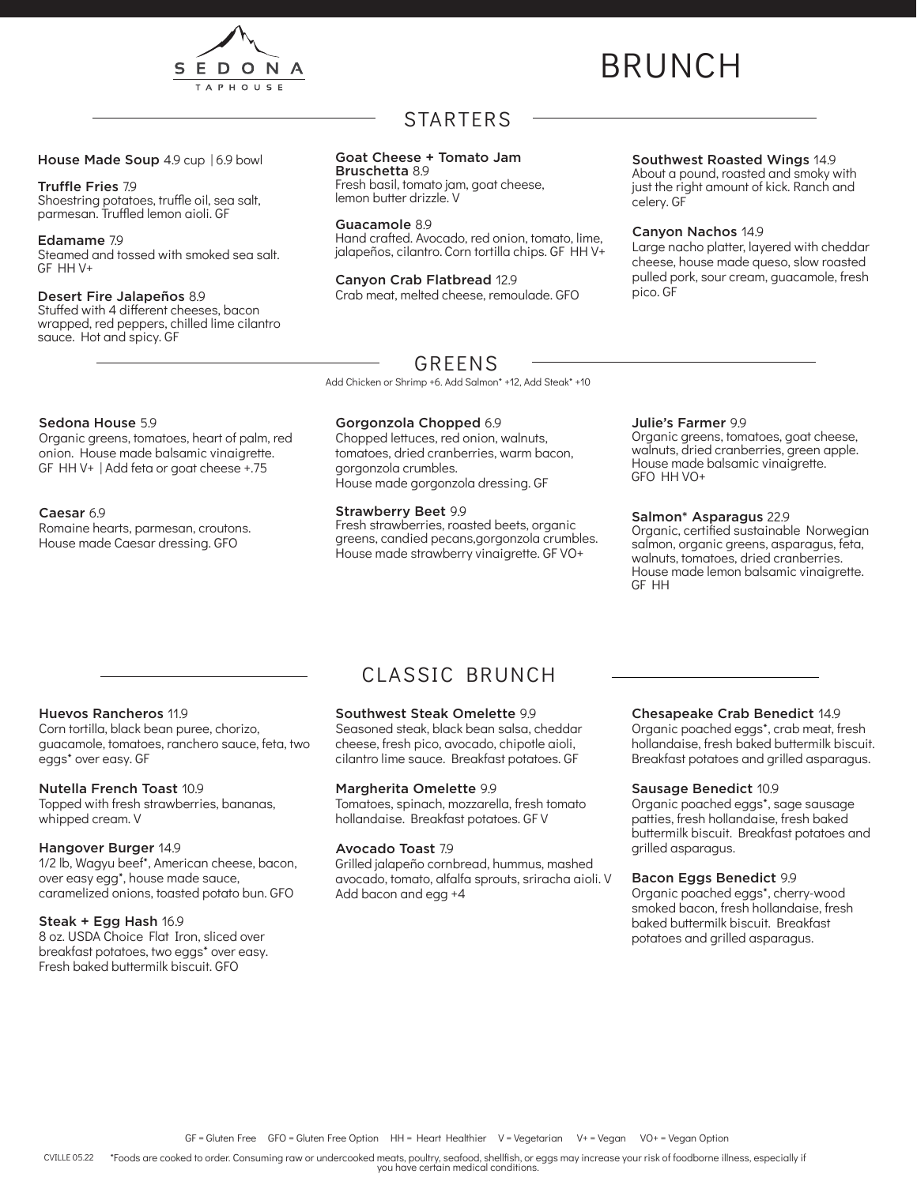

# BRUNCH

### House Made Soup 4.9 cup | 6.9 bowl

### Truffle Fries 7.9

Shoestring potatoes, truffle oil, sea salt, parmesan. Truffled lemon aioli. GF

#### Edamame 7.9

Steamed and tossed with smoked sea salt. GF HH V+

### Desert Fire Jalapeños 8.9

Stuffed with 4 different cheeses, bacon wrapped, red peppers, chilled lime cilantro sauce. Hot and spicy. GF

### STARTERS

### Goat Cheese + Tomato Jam

Bruschetta 8.9 Fresh basil, tomato jam, goat cheese, lemon butter drizzle. V

Guacamole 8.9 Hand crafted. Avocado, red onion, tomato, lime, jalapeños, cilantro. Corn tortilla chips. GF HH V+

Canyon Crab Flatbread 12.9 Crab meat, melted cheese, remoulade. GFO

### Southwest Roasted Wings 14.9

About a pound, roasted and smoky with just the right amount of kick. Ranch and celery. GF

### Canyon Nachos 14.9

Large nacho platter, layered with cheddar cheese, house made queso, slow roasted pulled pork, sour cream, guacamole, fresh pico. GF

### GREENS

Add Chicken or Shrimp +6. Add Salmon\* +12, Add Steak\* +10

### Sedona House 5.9

Organic greens, tomatoes, heart of palm, red onion. House made balsamic vinaigrette. GF HH V+ | Add feta or goat cheese +.75

### Caesar 6.9

Romaine hearts, parmesan, croutons. House made Caesar dressing. GFO

### Gorgonzola Chopped 6.9

Chopped lettuces, red onion, walnuts, tomatoes, dried cranberries, warm bacon, gorgonzola crumbles. House made gorgonzola dressing. GF

### Strawberry Beet 9.9

Fresh strawberries, roasted beets, organic greens, candied pecans,gorgonzola crumbles. House made strawberry vinaigrette. GF VO+

#### Julie's Farmer 9.9

Organic greens, tomatoes, goat cheese, walnuts, dried cranberries, green apple. House made balsamic vinaigrette. GFO HH VO+

### Salmon\* Asparagus 22.9

Organic, certified sustainable Norwegian salmon, organic greens, asparagus, feta, walnuts, tomatoes, dried cranberries. House made lemon balsamic vinaigrette. GF HH

### Huevos Rancheros 11.9

Corn tortilla, black bean puree, chorizo, guacamole, tomatoes, ranchero sauce, feta, two eggs\* over easy. GF

### Nutella French Toast 10.9

Topped with fresh strawberries, bananas, whipped cream. V

### Hangover Burger 14.9

1/2 lb, Wagyu beef\*, American cheese, bacon, over easy egg\*, house made sauce, caramelized onions, toasted potato bun. GFO

### Steak + Egg Hash 16.9

8 oz. USDA Choice Flat Iron, sliced over breakfast potatoes, two eggs\* over easy. Fresh baked buttermilk biscuit. GFO

### CLASSIC BRUNCH

### Southwest Steak Omelette 9.9

Seasoned steak, black bean salsa, cheddar cheese, fresh pico, avocado, chipotle aioli, cilantro lime sauce. Breakfast potatoes. GF

### Margherita Omelette 9.9

Tomatoes, spinach, mozzarella, fresh tomato hollandaise. Breakfast potatoes. GF V

### Avocado Toast 7.9

Grilled jalapeño cornbread, hummus, mashed avocado, tomato, alfalfa sprouts, sriracha aioli. V Add bacon and egg +4

#### Chesapeake Crab Benedict 14.9

Organic poached eggs\*, crab meat, fresh hollandaise, fresh baked buttermilk biscuit. Breakfast potatoes and grilled asparagus.

### Sausage Benedict 10.9

Organic poached eggs\*, sage sausage patties, fresh hollandaise, fresh baked buttermilk biscuit. Breakfast potatoes and grilled asparagus.

### Bacon Eggs Benedict 9.9

Organic poached eggs\*, cherry-wood smoked bacon, fresh hollandaise, fresh baked buttermilk biscuit. Breakfast potatoes and grilled asparagus.

GF = Gluten Free GFO = Gluten Free Option HH = Heart Healthier V = Vegetarian V+ = Vegan VO+ = Vegan Option

\*Foods are cooked to order. Consuming raw or undercooked meats, poultry, seafood, shellfish, or eggs may increase your risk of foodborne illness, especially if you have certain medical conditions. CVILLE 05.22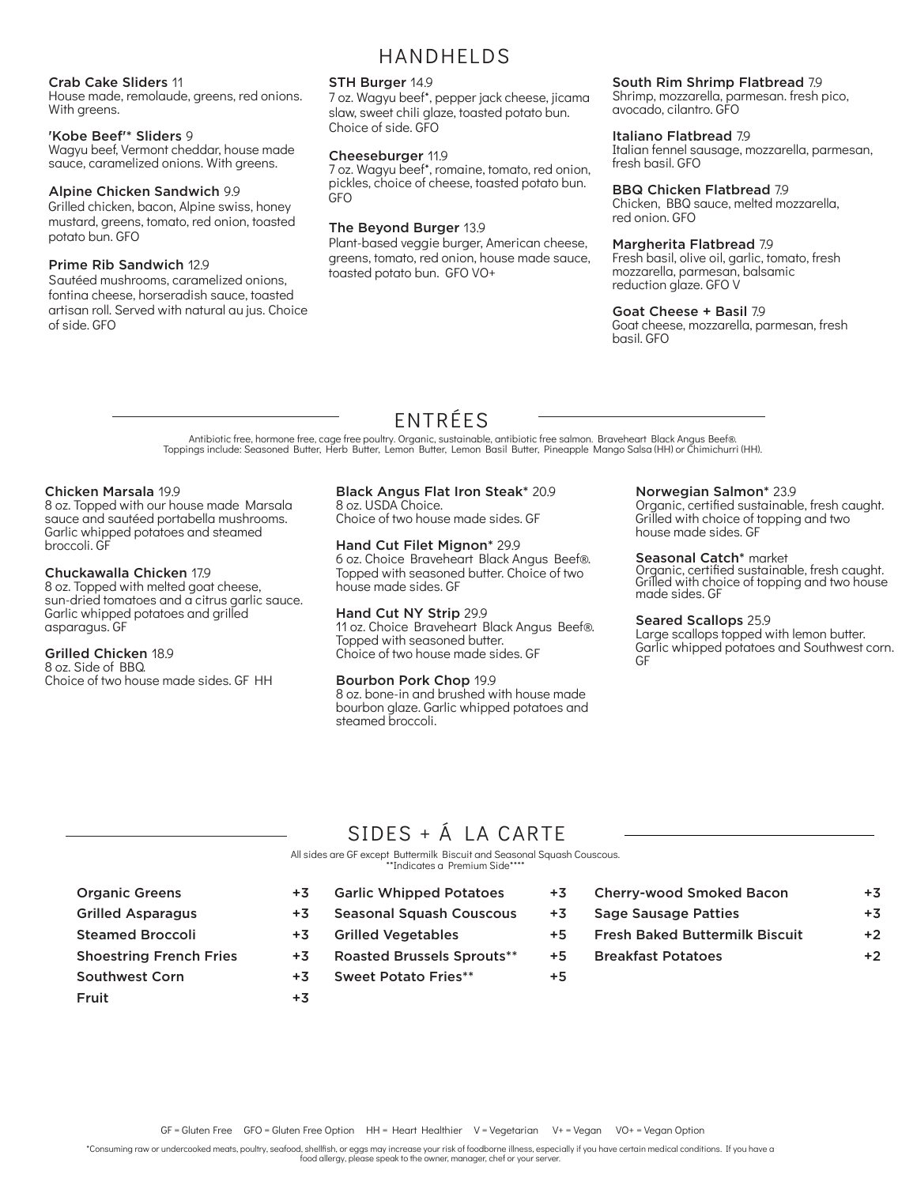### Crab Cake Sliders 11

House made, remolaude, greens, red onions. With greens.

### 'Kobe Beef'\* Sliders 9

Wagyu beef, Vermont cheddar, house made sauce, caramelized onions. With greens.

#### Alpine Chicken Sandwich 9.9

Grilled chicken, bacon, Alpine swiss, honey mustard, greens, tomato, red onion, toasted potato bun. GFO

### Prime Rib Sandwich 12.9

Sautéed mushrooms, caramelized onions, fontina cheese, horseradish sauce, toasted artisan roll. Served with natural au jus. Choice of side. GFO

### HANDHELDS

### STH Burger 14.9

7 oz. Wagyu beef\*, pepper jack cheese, jicama slaw, sweet chili glaze, toasted potato bun. Choice of side. GFO

### Cheeseburger 11.9

7 oz. Wagyu beef\*, romaine, tomato, red onion, pickles, choice of cheese, toasted potato bun. GFO

### The Beyond Burger 13.9

Plant-based veggie burger, American cheese, greens, tomato, red onion, house made sauce, toasted potato bun. GFO VO+

#### South Rim Shrimp Flatbread 7.9

Shrimp, mozzarella, parmesan. fresh pico, avocado, cilantro. GFO

### Italiano Flatbread 7.9

Italian fennel sausage, mozzarella, parmesan, fresh basil. GFO

### BBQ Chicken Flatbread 7.9

Chicken, BBQ sauce, melted mozzarella, red onion. GFO

### Margherita Flatbread 7.9

Fresh basil, olive oil, garlic, tomato, fresh mozzarella, parmesan, balsamic reduction glaze. GFO V

### Goat Cheese + Basil 7.9

Goat cheese, mozzarella, parmesan, fresh basil. GFO

### ENTRÉES

Antibiotic free, hormone free, cage free poultry. Organic, sustainable, antibiotic free salmon. Braveheart Black Angus Beef®. Toppings include: Seasoned Butter, Herb Butter, Lemon Butter, Lemon Basil Butter, Pineapple Mango Salsa (HH) or Chimichurri (HH).

#### Chicken Marsala 19.9

8 oz. Topped with our house made Marsala sauce and sautéed portabella mushrooms. Garlic whipped potatoes and steamed broccoli. GF

#### Chuckawalla Chicken 17.9

8 oz. Topped with melted goat cheese, sun-dried tomatoes and a citrus garlic sauce. Garlic whipped potatoes and grilled asparagus. GF

### Grilled Chicken 18.9

8 oz. Side of BBQ. Choice of two house made sides. GF HH

#### Black Angus Flat Iron Steak\* 20.9 8 oz. USDA Choice.

Choice of two house made sides. GF

### Hand Cut Filet Mignon\* 29.9

6 oz. Choice Braveheart Black Angus Beef®. Topped with seasoned butter. Choice of two house made sides. GF

### Hand Cut NY Strip 29.9

11 oz. Choice Braveheart Black Angus Beef®. Topped with seasoned butter. Choice of two house made sides. GF

### Bourbon Pork Chop 19.9

8 oz. bone-in and brushed with house made bourbon glaze. Garlic whipped potatoes and steamed broccoli.

### Norwegian Salmon\* 23.9

Organic, certified sustainable, fresh caught. Grilled with choice of topping and two house made sides. GF

### Seasonal Catch\* market

Organic, certified sustainable, fresh caught. Grilled with choice of topping and two house made sides. GF

#### Seared Scallops 25.9

Large scallops topped with lemon butter. Garlic whipped potatoes and Southwest corn. GF

Cherry-wood Smoked Bacon +3

### SIDES + Á LA CARTE

All sides are GF except Buttermilk Biscuit and Seasonal Squash Couscous. \*\*Indicates a Premium Side\*\*\*\*

- Organic Greens +3 Grilled Asparagus +3 Steamed Broccoli +3 Shoestring French Fries +3 Southwest Corn +3 Fruit +3
	- Garlic Whipped Potatoes +3 Seasonal Squash Couscous +3 Grilled Vegetables +5 Roasted Brussels Sprouts\*\* +5 Sweet Potato Fries\*\*  $+5$ 
		- Sage Sausage Patties +3 Fresh Baked Buttermilk Biscuit +2 Breakfast Potatoes +2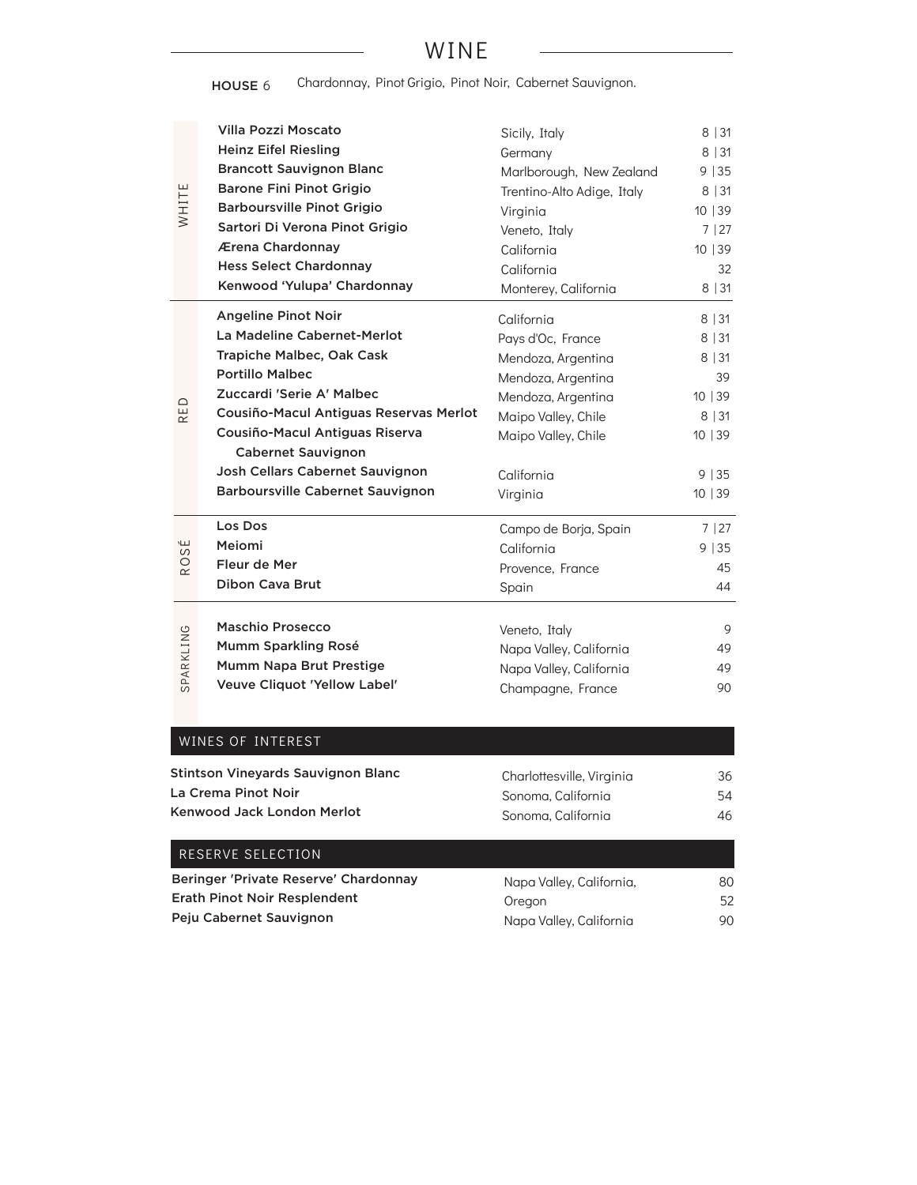### WINE

HOUSE 6 Chardonnay, Pinot Grigio, Pinot Noir, Cabernet Sauvignon.

| WHITE             | Villa Pozzi Moscato<br><b>Heinz Eifel Riesling</b><br><b>Brancott Sauvignon Blanc</b><br><b>Barone Fini Pinot Grigio</b><br><b>Barboursville Pinot Grigio</b><br>Sartori Di Verona Pinot Grigio<br>Ærena Chardonnay<br><b>Hess Select Chardonnay</b><br>Kenwood 'Yulupa' Chardonnay                                                  | Sicily, Italy<br>Germany<br>Marlborough, New Zealand<br>Trentino-Alto Adige, Italy<br>Virginia<br>Veneto, Italy<br>California<br>California<br>Monterey, California       | 8 31<br>8 31<br>9 35<br>8 31<br>10   39<br>7   27<br>10   39<br>32<br>8 31 |
|-------------------|--------------------------------------------------------------------------------------------------------------------------------------------------------------------------------------------------------------------------------------------------------------------------------------------------------------------------------------|---------------------------------------------------------------------------------------------------------------------------------------------------------------------------|----------------------------------------------------------------------------|
| RED               | <b>Angeline Pinot Noir</b><br>La Madeline Cabernet-Merlot<br>Trapiche Malbec, Oak Cask<br><b>Portillo Malbec</b><br>Zuccardi 'Serie A' Malbec<br>Cousiño-Macul Antiguas Reservas Merlot<br>Cousiño-Macul Antiguas Riserva<br><b>Cabernet Sauvignon</b><br>Josh Cellars Cabernet Sauvignon<br><b>Barboursville Cabernet Sauvignon</b> | California<br>Pays d'Oc, France<br>Mendoza, Argentina<br>Mendoza, Argentina<br>Mendoza, Argentina<br>Maipo Valley, Chile<br>Maipo Valley, Chile<br>California<br>Virginia | 8 31<br>8 31<br>8 31<br>39<br>10   39<br>8 31<br>10 39<br>9   35<br>10 39  |
| ROSÉ<br>SPARKLING | Los Dos<br>Meiomi<br>Fleur de Mer<br><b>Dibon Cava Brut</b><br>Maschio Prosecco<br>Mumm Sparkling Rosé<br>Mumm Napa Brut Prestige                                                                                                                                                                                                    | Campo de Borja, Spain<br>California<br>Provence, France<br>Spain<br>Veneto, Italy<br>Napa Valley, California<br>Napa Valley, California                                   | 7 27<br>9   35<br>45<br>44<br>9<br>49<br>49                                |
|                   | Veuve Cliquot 'Yellow Label'<br>WINES OF INTEREST<br><b>Stintson Vineyards Sauvignon Blanc</b><br>La Crema Pinot Noir                                                                                                                                                                                                                | Champagne, France<br>Charlottesville, Virginia<br>Sonoma, California                                                                                                      | 90<br>36<br>54                                                             |

| La Crema Pinot Noir        | Sonoma. California |
|----------------------------|--------------------|
| Kenwood Jack London Merlot | Sonoma. California |

46

| Napa Valley, California, | 80 |
|--------------------------|----|
| Oregon                   | 52 |
| Napa Valley, California  | 90 |
|                          |    |